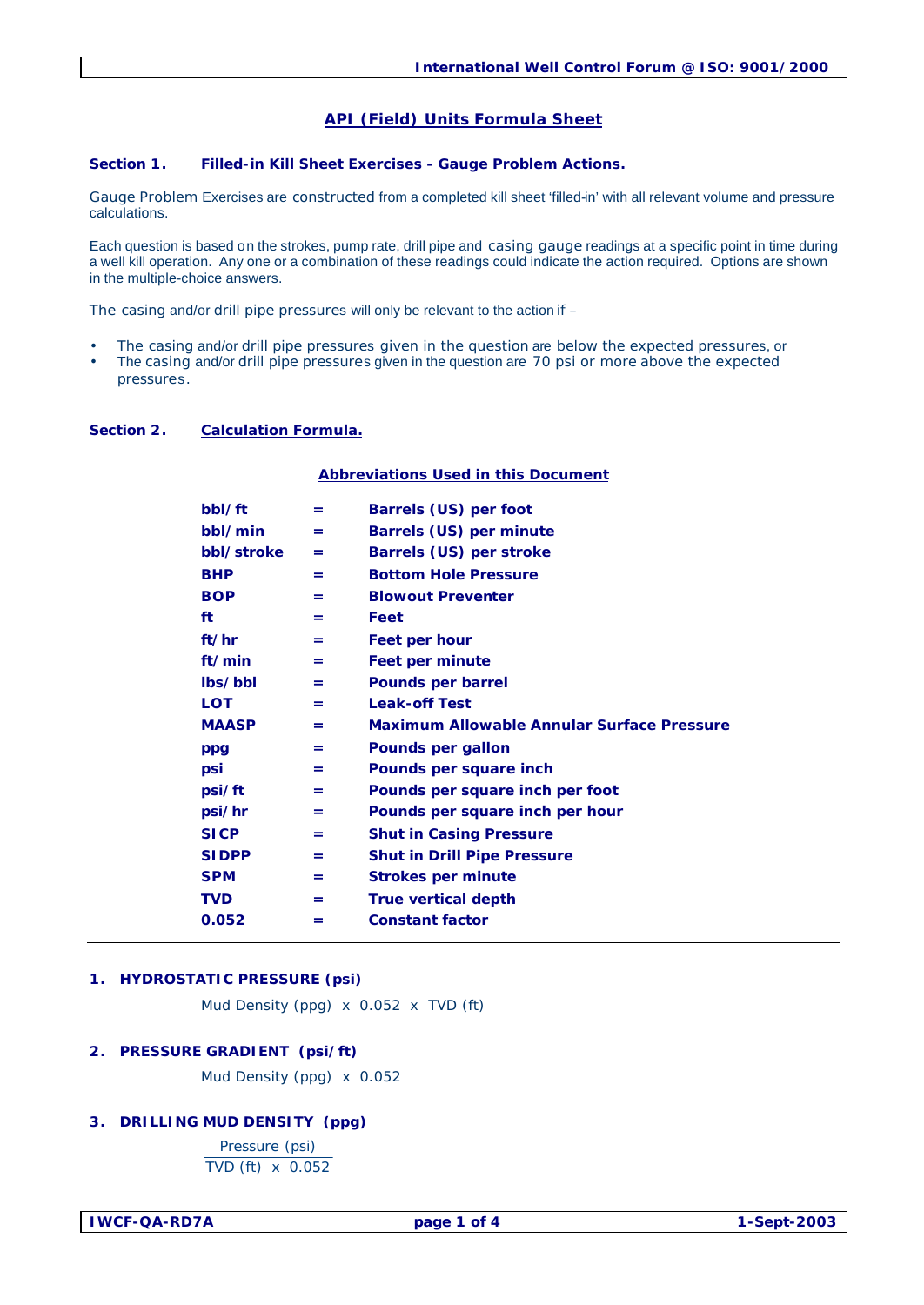# **API (Field) Units Formula Sheet**

#### **Section 1. Filled-in Kill Sheet Exercises - Gauge Problem Actions.**

Gauge Problem Exercises are constructed from a completed kill sheet 'filled-in' with all relevant volume and pressure calculations.

Each question is based on the strokes, pump rate, drill pipe and casing gauge readings at a specific point in time during a well kill operation. Any one or a combination of these readings could indicate the action required. Options are shown in the multiple-choice answers.

The casing and/or drill pipe pressures will only be relevant to the action if –

- The casing and/or drill pipe pressures given in the question are below the expected pressures, or
- The casing and/or drill pipe pressures given in the question are 70 psi or more above the expected
- pressures.

#### **Section 2. Calculation Formula.**

#### **Abbreviations Used in this Document**

| bbl/ft       | =   | Barrels (US) per foot                             |
|--------------|-----|---------------------------------------------------|
| bbl/min      | $=$ | Barrels (US) per minute                           |
| bbl/stroke   | $=$ | Barrels (US) per stroke                           |
| <b>BHP</b>   | $=$ | <b>Bottom Hole Pressure</b>                       |
| <b>BOP</b>   | $=$ | <b>Blowout Preventer</b>                          |
| ft           | =   | Feet                                              |
| ft/hr        | $=$ | Feet per hour                                     |
| ft/min       | =   | <b>Feet per minute</b>                            |
| lbs/bbl      | $=$ | <b>Pounds per barrel</b>                          |
| <b>LOT</b>   | =   | <b>Leak-off Test</b>                              |
| <b>MAASP</b> | $=$ | <b>Maximum Allowable Annular Surface Pressure</b> |
| ppg          | $=$ | Pounds per gallon                                 |
| psi          | $=$ | Pounds per square inch                            |
| psi/ft       | =   | Pounds per square inch per foot                   |
| psi/hr       | =   | Pounds per square inch per hour                   |
| <b>SICP</b>  | =   | <b>Shut in Casing Pressure</b>                    |
| <b>SIDPP</b> | =   | <b>Shut in Drill Pipe Pressure</b>                |
| <b>SPM</b>   | =   | <b>Strokes per minute</b>                         |
| TVD          | $=$ | <b>True vertical depth</b>                        |
| 0.052        | =   | <b>Constant factor</b>                            |
|              |     |                                                   |

### **1. HYDROSTATIC PRESSURE (psi)**

Mud Density (ppg) x 0.052 x TVD (ft)

#### **2. PRESSURE GRADIENT (psi/ft)**

Mud Density (ppg) x 0.052

#### **3. DRILLING MUD DENSITY (ppg)**

Pressure (psi) TVD (ft) x 0.052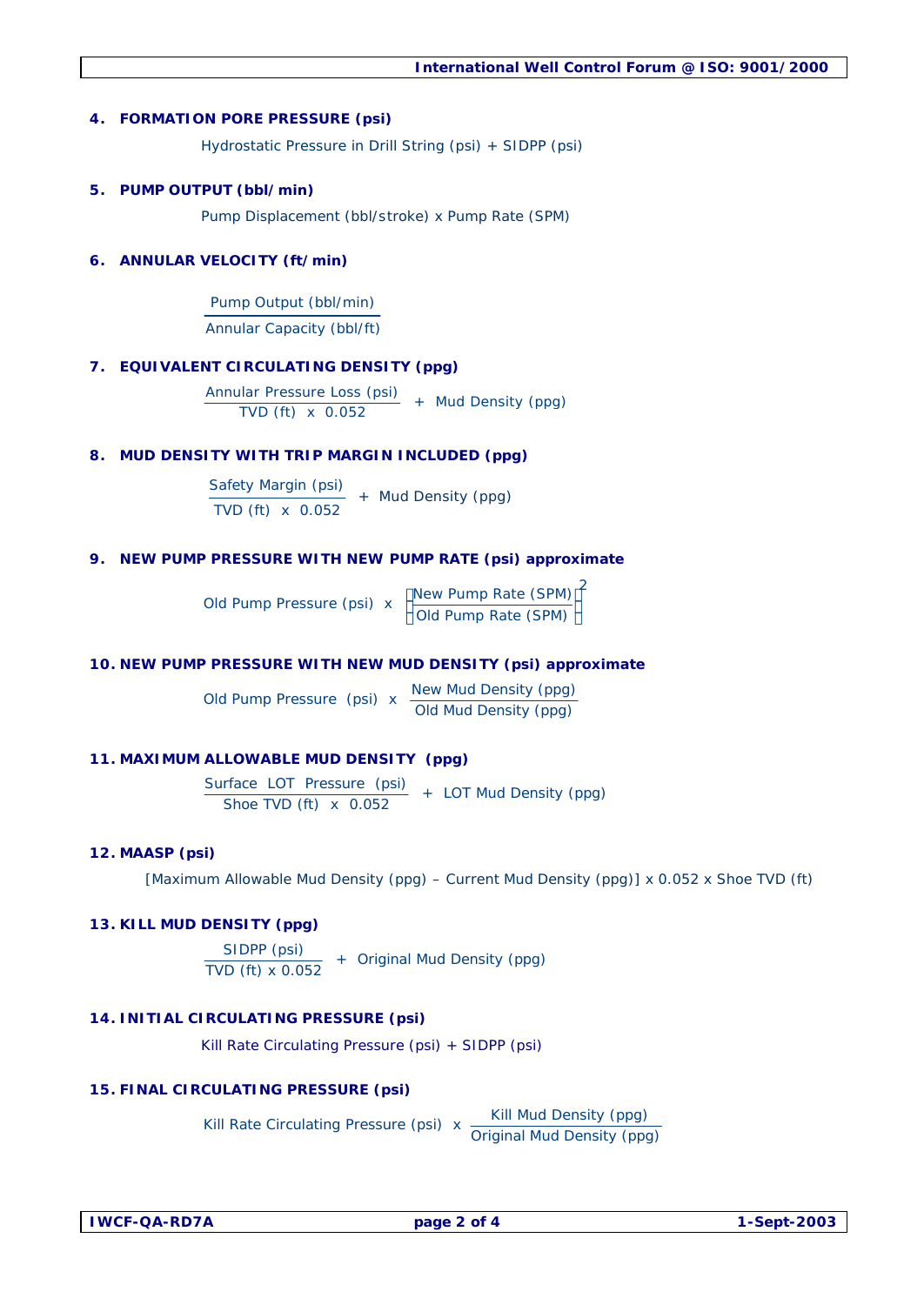#### **4. FORMATION PORE PRESSURE (psi)**

Hydrostatic Pressure in Drill String (psi) + SIDPP (psi)

#### **5. PUMP OUTPUT (bbl/min)**

Pump Displacement (bbl/stroke) x Pump Rate (SPM)

### **6. ANNULAR VELOCITY (ft/min)**

Pump Output (bbl/min) Annular Capacity (bbl/ft)

#### **7. EQUIVALENT CIRCULATING DENSITY (ppg)**

Annular Pressure Loss (psi)  $+$  Mud Density (ppg)

### **8. MUD DENSITY WITH TRIP MARGIN INCLUDED (ppg)**

Safety Margin (psi) TVD (ft) x 0.052 + Mud Density (ppg)

### **9. NEW PUMP PRESSURE WITH NEW PUMP RATE (psi) approximate**

Old Pump Pressure (psi) x  $\left(\frac{\text{New Pump Rate (SPM)}}{\text{Old Pump Rate (SPM)}}\right)^2$ 

#### **10. NEW PUMP PRESSURE WITH NEW MUD DENSITY (psi) approximate**

Old Pump Pressure (psi) x New Mud Density (ppg)<br>Old Mud Density (ppg)

## **11. MAXIMUM ALLOWABLE MUD DENSITY (ppg)**

Surface LOT Pressure (psi) + LOT Mud Density (ppg) Shoe TVD (ft) x 0.052

#### **12. MAASP (psi)**

[Maximum Allowable Mud Density (ppg) – Current Mud Density (ppg)] x 0.052 x Shoe TVD (ft)

## **13. KILL MUD DENSITY (ppg)**

 $SIDPP (psi)$  + Original Mud Density (ppg) TVD (ft) x 0.052

## **14. INITIAL CIRCULATING PRESSURE (psi)**

Kill Rate Circulating Pressure (psi) + SIDPP (psi)

#### **15. FINAL CIRCULATING PRESSURE (psi)**

Kill Rate Circulating Pressure (psi)  $x \frac{$  Kill Mud Density (ppg) Kill Rate Circulating Pressure (psi)  $\frac{1}{x}$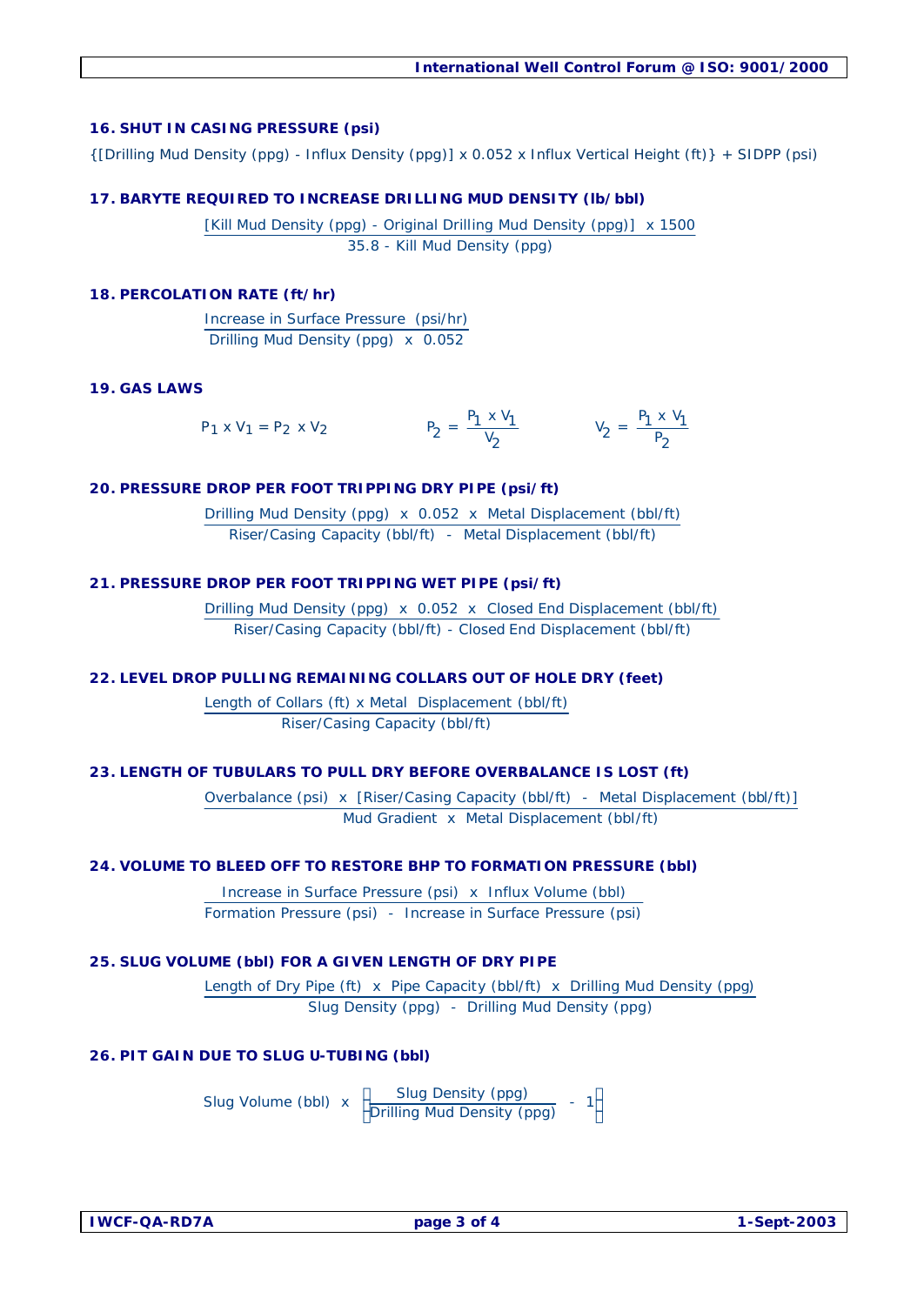### **16. SHUT IN CASING PRESSURE (psi)**

{[Drilling Mud Density (ppg) - Influx Density (ppg)] x 0.052 x Influx Vertical Height (ft)} + SIDPP (psi)

### **17. BARYTE REQUIRED TO INCREASE DRILLING MUD DENSITY (lb/bbl)**

[Kill Mud Density (ppg) - Original Drilling Mud Density (ppg)] x 1500 35.8 - Kill Mud Density (ppg)

### **18. PERCOLATION RATE (ft/hr)**

Increase in Surface Pressure (psi/hr) Drilling Mud Density (ppg) x 0.052

### **19. GAS LAWS**

$$
P_1 \times V_1 = P_2 \times V_2
$$
  $P_2 = \frac{P_1 \times V_1}{V_2}$   $V_2 = \frac{P_1 \times V_1}{P_2}$ 

### **20. PRESSURE DROP PER FOOT TRIPPING DRY PIPE (psi/ft)**

Drilling Mud Density (ppg) x 0.052 x Metal Displacement (bbl/ft) Riser/Casing Capacity (bbl/ft) - Metal Displacement (bbl/ft)

### **21. PRESSURE DROP PER FOOT TRIPPING WET PIPE (psi/ft)**

Drilling Mud Density (ppg) x 0.052 x Closed End Displacement (bbl/ft) Riser/Casing Capacity (bbl/ft) - Closed End Displacement (bbl/ft)

#### **22. LEVEL DROP PULLING REMAINING COLLARS OUT OF HOLE DRY (feet)**

Length of Collars (ft) x Metal Displacement (bbl/ft) Riser/Casing Capacity (bbl/ft)

## **23. LENGTH OF TUBULARS TO PULL DRY BEFORE OVERBALANCE IS LOST (ft)**

Overbalance (psi) x [Riser/Casing Capacity (bbl/ft) - Metal Displacement (bbl/ft)] Mud Gradient x Metal Displacement (bbl/ft)

# **24. VOLUME TO BLEED OFF TO RESTORE BHP TO FORMATION PRESSURE (bbl)**

Increase in Surface Pressure (psi) x Influx Volume (bbl) Formation Pressure (psi) - Increase in Surface Pressure (psi)

## **25. SLUG VOLUME (bbl) FOR A GIVEN LENGTH OF DRY PIPE**

Length of Dry Pipe (ft) x Pipe Capacity (bbl/ft) x Drilling Mud Density (ppg) Slug Density (ppg) - Drilling Mud Density (ppg)

## **26. PIT GAIN DUE TO SLUG U-TUBING (bbl)**

Slug Volume (bbl)  $x \left( \frac{\text{Slug Density (ppg)}}{\text{Drilling Mud Density (ppg)}} - 1 \right)$